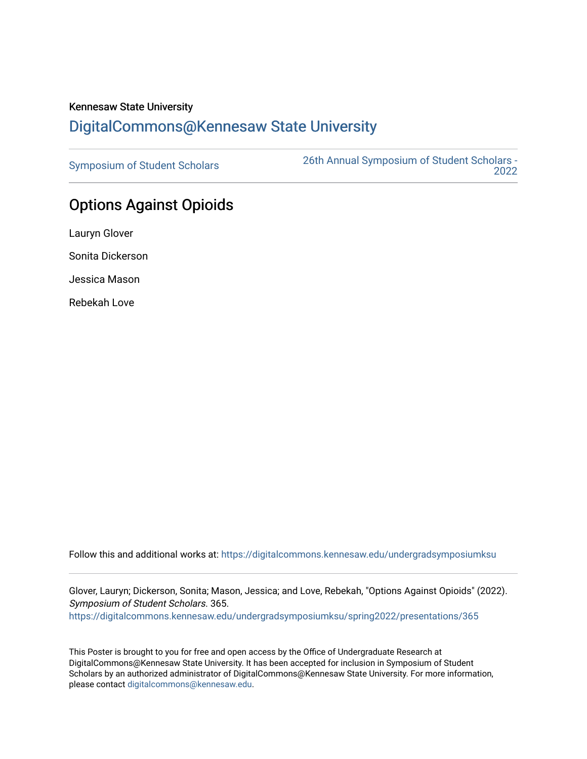## Kennesaw State University [DigitalCommons@Kennesaw State University](https://digitalcommons.kennesaw.edu/)

[Symposium of Student Scholars](https://digitalcommons.kennesaw.edu/undergradsymposiumksu) [26th Annual Symposium of Student Scholars -](https://digitalcommons.kennesaw.edu/undergradsymposiumksu/spring2022)  [2022](https://digitalcommons.kennesaw.edu/undergradsymposiumksu/spring2022) 

## Options Against Opioids

Lauryn Glover Sonita Dickerson Jessica Mason Rebekah Love

Follow this and additional works at: [https://digitalcommons.kennesaw.edu/undergradsymposiumksu](https://digitalcommons.kennesaw.edu/undergradsymposiumksu?utm_source=digitalcommons.kennesaw.edu%2Fundergradsymposiumksu%2Fspring2022%2Fpresentations%2F365&utm_medium=PDF&utm_campaign=PDFCoverPages) 

Glover, Lauryn; Dickerson, Sonita; Mason, Jessica; and Love, Rebekah, "Options Against Opioids" (2022). Symposium of Student Scholars. 365.

[https://digitalcommons.kennesaw.edu/undergradsymposiumksu/spring2022/presentations/365](https://digitalcommons.kennesaw.edu/undergradsymposiumksu/spring2022/presentations/365?utm_source=digitalcommons.kennesaw.edu%2Fundergradsymposiumksu%2Fspring2022%2Fpresentations%2F365&utm_medium=PDF&utm_campaign=PDFCoverPages)

This Poster is brought to you for free and open access by the Office of Undergraduate Research at DigitalCommons@Kennesaw State University. It has been accepted for inclusion in Symposium of Student Scholars by an authorized administrator of DigitalCommons@Kennesaw State University. For more information, please contact [digitalcommons@kennesaw.edu.](mailto:digitalcommons@kennesaw.edu)